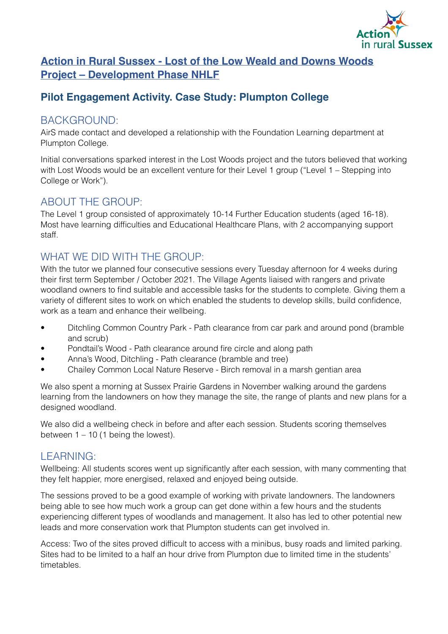

# **Action in Rural Sussex - Lost of the Low Weald and Downs Woods Project – Development Phase NHLF**

## **Pilot Engagement Activity. Case Study: Plumpton College**

#### BACKGROUND:

AirS made contact and developed a relationship with the Foundation Learning department at Plumpton College.

Initial conversations sparked interest in the Lost Woods project and the tutors believed that working with Lost Woods would be an excellent venture for their Level 1 group ("Level 1 – Stepping into College or Work").

## ABOUT THE GROUP:

The Level 1 group consisted of approximately 10-14 Further Education students (aged 16-18). Most have learning difficulties and Educational Healthcare Plans, with 2 accompanying support staff.

## WHAT WE DID WITH THE GROUP:

With the tutor we planned four consecutive sessions every Tuesday afternoon for 4 weeks during their first term September / October 2021. The Village Agents liaised with rangers and private woodland owners to find suitable and accessible tasks for the students to complete. Giving them a variety of different sites to work on which enabled the students to develop skills, build confidence, work as a team and enhance their wellbeing.

- Ditchling Common Country Park Path clearance from car park and around pond (bramble and scrub)
- Pondtail's Wood Path clearance around fire circle and along path
- Anna's Wood, Ditchling Path clearance (bramble and tree)
- Chailey Common Local Nature Reserve Birch removal in a marsh gentian area

We also spent a morning at Sussex Prairie Gardens in November walking around the gardens learning from the landowners on how they manage the site, the range of plants and new plans for a designed woodland.

We also did a wellbeing check in before and after each session. Students scoring themselves between  $1 - 10$  (1 being the lowest).

#### LEARNING:

Wellbeing: All students scores went up significantly after each session, with many commenting that they felt happier, more energised, relaxed and enjoyed being outside.

The sessions proved to be a good example of working with private landowners. The landowners being able to see how much work a group can get done within a few hours and the students experiencing different types of woodlands and management. It also has led to other potential new leads and more conservation work that Plumpton students can get involved in.

Access: Two of the sites proved difficult to access with a minibus, busy roads and limited parking. Sites had to be limited to a half an hour drive from Plumpton due to limited time in the students' timetables.